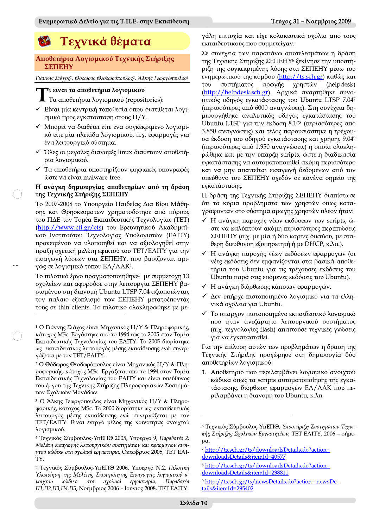# Τεχνικά θέματα

#### Αποθετήρια Λογισμικού Τεχνικής Στήριξης ΣΕΠΕΗΥ

Γιάννης Σιάχος<sup>1</sup>, Θόδωρος Θεοδωρόπουλος<sup>2</sup>, Άλκης Γεωργόπουλος<sup>3</sup>

# **¬**ι είναι τα αποθετήρια λογισμικού

**1** Τα αποθετήρια λογισμικού (repositories):

- ► Eivat μία κεντρική τοποθεσία όπου διατίθεται λογισμικό προς εγκατάσταση στους Η/Υ.
- ► Μπορεί να διαθέτει είτε ένα συγκεκριμένο λογισμικό είτε μία πλειάδα λογισμικού, π.χ. εφαρμογές για ένα λειτουργικό σύστημα.
- v Όλες οι μεγάλες διανομές linux διαθέτουν αποθετήρια λογισμικού.
- Τα αποθετήρια υποστηρίζουν ψηφιακές υπογραφές ώστε να είναι malware-free.

### Η ανάγκη δημιουργίας αποθετηρίων από τη δράση της Τεχνικής Στήριξης ΣΕΠΕΗΥ

Το 2007-2008 το Υπουργείο Παιδείας Δια Βίου Μάθησης και Θρησκευμάτων χρηματοδότησε από πόρους του ΠΔΕ τον Τομέα Εκπαιδευτικής Τεχνολογίας (ΤΕΤ) (http://www.cti.gr/ets) του Ερευνητικού Ακαδημαϊκού Ινστιτούτου Τεχνολογίας Υπολογιστών (ΕΑΙΤΥ) προκειμένου να υλοποιηθεί και να αξιολογηθεί στην πράξη σχετική μελέτη εφικτού του ΤΕΤ/ΕΑΙΤΥ για την εισαγωγή λύσεων στα ΣΕΠΕΗΥ, που βασίζονται αμιγώς σε λογισμικό τύπου ΕΛ/ΛΑΚ<sup>4</sup>.

Το πιλοτικό έργο πραγματοποιήθηκε<sup>5</sup> με συμμετοχή 13 σχολείων και αφορούσε στην λειτουργία ΣΕΠΕΗΥ βασισμένου στη διανομή Ubuntu LTSP 7.04 αξιοποιώντας τον παλαιό εξοπλισμό των ΣΕΠΕΗΥ μετατρέποντάς τους σε thin clients. Το πιλοτικό ολοκληρώθηκε με μεγάλη επιτυχία και είχε κολακευτικά σχόλια από τους εκπαιδευτικούς που συμμετείχαν.

Σε συνέχεια των παραπάνω αποτελεσμάτων η δράση της Τεχνικής Στήριξης ΣΕΠΕΗΥ<sup>6</sup> ξεκίνησε την υποστήριξη της συγκεκριμένης λύσης στα ΣΕΠΕΗΥ μέσω του ενημερωτικού της κόμβου (http://ts.sch.gr) καθώς και συστήματος αρωγής χρηστών (helpdesk)  $TOP$ (http://helpdesk.sch.gr). Αρχικά αναρτήθηκε συνοπτικός οδηγός εγκατάστασης του Ubuntu LTSP 7.047 (περισσότερες από 6000 αναγνώσεις). Στη συνέχεια δημιουργήθηκε αναλυτικός οδηγός εγκατάστασης του Ubuntu LTSP για την έκδοση 8.10<sup>8</sup> (περισσότερες από 3.850 αναγνώσεις) και τέλος παρουσιάστηκε η τρέχουσα έκδοση του οδηγού εγκατάστασης και χρήσης 9.049 (περισσότερες από 1.950 αναγνώσεις) η οποία ολοκληρώθηκε και με την ύπαρξη scripts, ώστε η διαδικασία εγκατάστασης να αυτοματοποιηθεί ακόμη περισσότερο και να μην απαιτείται εισαγωγή δεδομένων από τον υπεύθυνο του ΣΕΠΕΗΥ σχεδόν σε κανένα σημείο της εγκατάστασης.

Η δράση της Τεχνικής Στήριξης ΣΕΠΕΗΥ διαπίστωσε ότι τα κύρια προβλήματα των χρηστών όπως καταγράφονταν στο σύστημα αρωγής χρηστών πλέον ήταν:

- Η ανάγκη παροχής νέων εκδόσεων των scripts, ώστε να καλύπτουν ακόμη περισσότερες περιπτώσεις ΣΕΠΕΗΥ (π.χ. με μία ή δύο κάρτες δικτύου, με σταθερή διεύθυνση εξυπηρετητή ή με DHCP, κ.λπ.).
- Η ανάγκη παροχής νέων εκδόσεων εφαρμογών (οι νέες εκδόσεις δεν εμφανίζονται στα βασικά αποθετήρια του Ubuntu για τις τρέχουσες εκδόσεις του Ubuntu παρά στις επόμενες εκδόσεις του Ubuntu).
- ► Η ανάγκη διόρθωσης κάποιων εφαρμογών.
- Δεν υπήρχε πιστοποιημένο λογισμικό για τα ελληνικά σχολεία για Ubuntu.
- Το υπάρχον πιστοποιημένο εκπαιδευτικό λογισμικό που ήταν ανεξάρτητο λειτουργικού συστήματος (π.χ. τεχνολογίες flash) απαιτούσε τεχνικές γνώσεις για να εγκατασταθεί.

Για την επίλυση αυτών των προβλημάτων η δράση της Τεχνικής Στήριξης προχώρησε στη δημιουργία δύο αποθετηρίων λογισμικού:

1. Αποθετήριο που περιλαμβάνει λογισμικό ανοιχτού κώδικα όπως τα scripts αυτοματοποίησης της εγκατάστασης, διόρθωση εφαρμογών ΕΛ/ΛΑΚ που περιλαμβάνει η διανομή του Ubuntu, κ.λπ.

<sup>&</sup>lt;sup>1</sup> Ο Γιάννης Σιάχος είναι Μηχανικός Η/Υ & Πληροφορικής, κάτοχος MSc. Εργάστηκε από το 1994 έως το 2005 στον Τομέα Εκπαιδευτικής Τεχνολογίας του ΕΑΙΤΥ. Το 2005 διορίστηκε ως εκπαιδευτικός λειτουργός μέσης εκπαίδευσης ενώ συνεργάζεται με τον ΤΕΤ/ΕΑΙΤΥ.

<sup>2</sup> Ο Θόδωρος Θεοδωρόπουλος είναι Μηχανικός Η/Υ & Πληροφορικής, κάτοχος MSc. Εργάζεται από το 1994 στον Τομέα Εκπαιδευτικής Τεχνολογίας του ΕΑΙΤΥ και είναι υπεύθυνος του έργου της Τεχνικής Στήριξης Πληροφοριακών Συστημάτων Σχολικών Μονάδων.

<sup>3</sup> Ο Άλκης Γεωργόπουλος είναι Μηχανικός Η/Υ & Πληροφορικής, κάτοχος MSc. Το 2000 διορίστηκε ως εκπαιδευτικός λειτουργός μέσης εκπαίδευσης ενώ συνεργάζεται με τον ΤΕΤ/ΕΑΙΤΥ. Είναι ενεργό μέλος της κοινότητας ανοιχτού λονισμικού.

<sup>4</sup> Τεχνικός Σύμβουλος-ΥπΕΠΘ 2005, Υποέργο 9, Παραδοτέο 2: Μελέτη εισαγωγής λειτουργικών συστημάτων και εφαρμογών ανοιγτού κώδικα στα σχολικά εργαστήρια, Οκτώβριος 2005, ΤΕΤ ΕΑΙ-TY.

<sup>5</sup> Τεχνικός Σύμβουλος-ΥπΕΠΘ 2006, Υποέργο Ν.2, Πιλοτική Υλοποίηση της Μελέτης Σκοπιμότητας Εισαγωγής λογισμικού ανοιχτού κώδικα στα σχολικά εργαστήρια, Παραδοτέα Π1, Π2, Π3, Π4, Π5, Νοέμβριος 2006 - Ιούνιος 2008, ΤΕΤ ΕΑΙΤΥ.

<sup>6</sup> Τεχνικός Σύμβουλος-ΥπΕΠΘ, Υποστήριξη Συστημάτων Τεχνικής Στήριξης Σχολικών Εργαστηρίων, ΤΕΤ ΕΑΙΤΥ, 2006 - σήμε- $\rho$ a.

<sup>7</sup> http://ts.sch.gr/ts/downloadsDetails.do?action= downloadsDetails&itemId=40577

<sup>&</sup>lt;sup>8</sup> http://ts.sch.gr/ts/downloadsDetails.do?action= downloadsDetails&itemId=238811

<sup>&</sup>lt;sup>9</sup> http://ts.sch.gr/ts/newsDetails.do?action= newsDetails&itemId=295402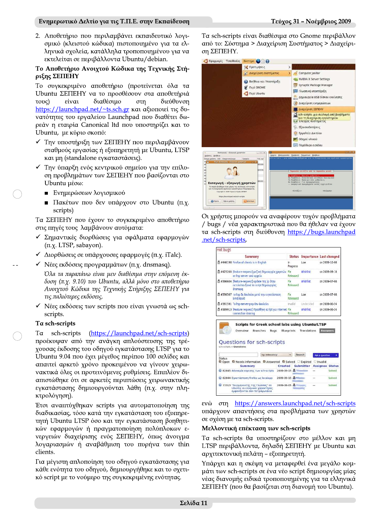Eνημερωτικό Δελτίο για τις T.Π.Ε. στην Εκπαίδευση<br>2. Αποθετήριο που περιλαμβάνει εκπαιδευτικό λογι-<br>ομικό (κλειστού κώδικα) πιστοποιημένο για τα ελ-<br>ληνικά σχολεία, κατάλληλα τροποιουμένου για να<br>εκτελείται σε περιβάλλοντ

# οιχτου Κωδικα της Τεχνικης Στηριξης ΣΕΠΕΗΥ

Το συγκεκριμένο αποθετήριο (προτείνεται όλα τα Ubuntu ΣΕΠΕΗΥ να το προσθέσουν στα αποθετήριά<br>τους) είναι διαθέσιμο στη διεύθυνση τους) ειναι οιαθεσιμο στη οιευθυνση <u>https://launchpad.net/~ts.sch.gr</u> και αξιοποιει τις δυνατότητες του εργαλείου Launchpad που διαθέτει δωρεάν η εταιρία Canonical ltd που υποστηρίζει και το Ubuntu, με κύριο σκοπό:

- $\checkmark$  Tην υποστήριξη των ΣΕΠΕΗΥ που περιλαμβάνουν σταθμούς εργασίας ή εξυπηρετητή με Ubuntu, LTSP και μη (standalone εγκαταστάσεις).
- v Tην ύπαρξη ενός κεντρικού σημείου για την επίλυon προβλημάτων των ΣΕΠΕΗΥ που βασίζονται στο Ubuntu użow:
	- **B** Ενημερώσεων λογισμικού
	- Πακέτων που δεν υπάρχουν στο Ubuntu (π.χ. scripts)

Τα ΣΕΠΕΗΥ που έχουν το συγκεκριμένο αποθετήριο στις πηγές τους λαμβάνουν αυτόματα:

- V Σημαντικές διορθώσεις για σφάλματα εφαρμογών  $(\pi.x$ . LTSP, sabayon).
- $\checkmark$  Διορθώσεις σε υπάρχουσες εφαρμογές (π.χ. iTalc).
- $\checkmark$  Nέες εκδόσεις προγραμμάτων (π.χ. dnsmasq).

'Ода та ларалато гічаі не біадестна отпу елонечт ек- $\delta$ οση (π.γ. 9.10) του Ubuntu, αλλά μόνο στο αποθετήριο Ανοιχτού Κώδικα της Τεχνικής Στήριξης ΣΕΠΕΗΥ για τις παλιότερες εκδόσεις.

 $\checkmark$  Nέες εκδόσεις των scripts που είναι γνωστά ως schscripts.

# Ta sch-scripts

 $\sim$ 

Ta sch-scripts (https://launchpad.net/sch-scripts) προέκυψαν από την ανάγκη απλούστευσης της τρέχουσας έκδοσης του οδηγού εγκατάστασης LTSP για το Ubuntu 9.04 που έχει μέγεθος περίπου 100 σελίδες και απαιτεί αρκετό χρόνο προκειμένου να γίνουν χειρωvακτικά όλες οι προτεινόμενες ρυθμίσεις. Επιπλέον διαπιστώθηκε ότι σε αρκετές περιπτώσεις χειρωνακτικής εγκατάστασης δημιουργούνται λάθη (π.χ. στην πληκτρολόγηση).

Έτσι αναπτύχθηκαν scripts για αυτοματοποίηση της διαδικασίας, τόσο κατά την εγκατάσταση του εξυπηρετητή Ubuntu LTSP όσο και την εγκατάσταση βοηθητικών εφαρμογών ή πραγματοποίηση πολύπλοκων ενεργειών διαχείρισης ενός ΣΕΠΕΗΥ, όπως άνοιγμα λογαριασμών ή αναβάθμιση του πυρήνα των thin clients.

Για μέγιστη απλοποίηση του οδηγού εγκατάστασης για κάθε ενότητα του οδηγού, δημιουργήθηκε και το σχετικό script με το νούμερο της συγκεκριμένης ενότητας.

Ta sch-scripts είναι διαθέσιμα στο Gnome περιβάλλον από το: Σύστημα > Διαχείριση Συστήματος > Διαχείριση ΣΕΠΕΗΥ.

|                                                   | Προτιμήσεις                  | ⋋ |                                                                                                                                                                                                                                                                                                                               |
|---------------------------------------------------|------------------------------|---|-------------------------------------------------------------------------------------------------------------------------------------------------------------------------------------------------------------------------------------------------------------------------------------------------------------------------------|
|                                                   | <b>Διαχείριση συστήματος</b> |   | Computer Janitor                                                                                                                                                                                                                                                                                                              |
| Περί GNOME<br>Περί Ubuntu                         | Βοήθεια και Υποστήριξη       |   | <b>NVIDIA X Server Settings</b><br>Synaptic Package Manager<br>Γλωσσική υποστήριξη<br>Δημιουργία USB δίσκου εκκίνησης<br>Διαχείριση ενημερώσεων<br>Διαχείριση ΣΕΠΕΗΥ<br>sch-scripts: μια συλλογή από βοηθήματα<br>για τη διαχείριση εργαστηρίου<br>Ελεγχός συστηματός<br>Εξουσιοδοτήσεις<br>Εργαλεία Δικτύου<br>Οδηγοί υλικού |
| Εισαγωγή - εξαγωγή χρηστών                        | a<br>$-0$                    |   | Παράθυρο εισόδου<br>253<br>$-1012$                                                                                                                                                                                                                                                                                            |
|                                                   |                              |   | Δρχείο Επεξεργασία Προβολή Τερματικό Βοήθεια<br>sch-scripts - μια συλλογή βοηθημάτων για τη διαγείριση του σγολικού εργαστηρίου                                                                                                                                                                                               |
| Χρήστες Βοήθεια<br>Όνομα χρήστη UID Ονοματεπώνυμο | Γραφείο<br>Τηλ. ερ           |   |                                                                                                                                                                                                                                                                                                                               |

Οι χρήστες μπορούν να αναφέρουν τυχόν προβλήματα / bugs / νέα χαρακτηριστικά που θα ήθελαν να έχουν τα sch-scripts στη διεύθυνση https://bugs.launchpad .net/sch-scripts,

|                                                                                  | Summary                                                                                              | <b>Status</b>     |                 | <b>Importance Last changed</b>    |
|----------------------------------------------------------------------------------|------------------------------------------------------------------------------------------------------|-------------------|-----------------|-----------------------------------|
| #446198 Firefox of clients is in English                                         |                                                                                                      | łπ<br>Progress    | Low             | on 2009-10-08                     |
|                                                                                  | #423200 [feature-request] μαζική δημιουργία χρηστών Fix<br>σε Itsp server από αρχείο                 | Released          | <b>Wishlist</b> | on 2009-09-18                     |
|                                                                                  | #396604 [feature-request] update the ip otav<br>εκτελείται ξανά το script δημιουργίας<br>dnsmasg     |                   | Wishlist        | on 2009-07-08                     |
|                                                                                  | #396567 το Itsp δε δουλεύει μετά την εκνατάσταση<br>bind/squid                                       | Fix<br>Released   | Low             | on 2009-07-08                     |
|                                                                                  | #391591 To Itsp-server-pnp δεν δουλεύει                                                              | <b>Invalid</b>    | Undecided       | on 2009-06-24                     |
| #389913 [Feature request] Προσθήκη script για Internet Fix<br>connection sharing |                                                                                                      | Released          | Wishlist        | on 2009-06-24                     |
|                                                                                  | <b>Scripts for Greek school labs using Ubuntu/LTSP</b><br>Overview<br><b>Branches</b><br><b>Bugs</b> | <b>Blueprints</b> | Translations    | <b>Answers</b>                    |
|                                                                                  | Questions for sch-scripts<br>sch-scripts » Questions                                                 |                   |                 |                                   |
|                                                                                  | by relevancy                                                                                         |                   | Search          | <b>Ask a question</b>             |
| Status                                                                           | C Open C Needs information C Answered C Solved Expired<br>Created<br>Summary                         |                   | Submitter       | Invalid<br><b>Assignee Status</b> |
|                                                                                  | 82845 Aδυναμία εύρεσης των sch-scripts                                                               | 2009-09-15 2      |                 | Solved                            |
|                                                                                  | 82844 Εγκατάσταση firefox ως localapp                                                                | 2009-09-15        |                 | Solved                            |

 $ev\ddot{\omega}$   $\sigma\tau\eta$  https://answers.launchpad.net/sch-scripts υπάρχουν απαντήσεις στα προβλήματα των χρηστών σε σχέση με τα sch-scripts.

# Μελλοντικη επεκταση των sch-scripts

Τα sch-scripts θα υποστηρίζουν στο μέλλον και μη LTSP περιβάλλοντα, δηλαδή ΣΕΠΕΗΥ με Ubuntu και αρχιτεκτονική πελάτη - εξυπηρετητή.

Yπάρχει και η σκέψη να μεταφερθεί ένα μεγάλο κομμάτι των sch-scripts σε ένα νέο script δημιουργίας μίας νέας διανομής ειδικά τροποποιημένης για τα ελληνικά ΣΕΠΕΗΥ (που θα βασίζεται στη διανομή του Ubuntu).